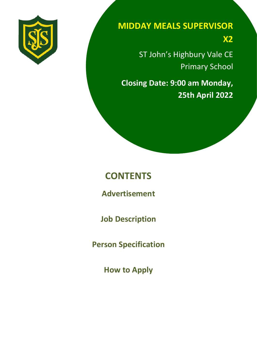

# **MIDDAY MEALS SUPERVISOR**

**X2**

ST John's Highbury Vale CE Primary School

**Closing Date: 9:00 am Monday, 25th April 2022**

# **CONTENTS**

**Advertisement**

**Job Description**

**Person Specification**

**How to Apply**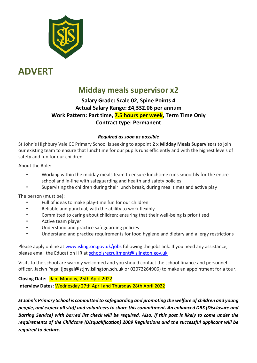

# **ADVERT**

### **Midday meals supervisor x2**

### **Salary Grade: Scale 02, Spine Points 4 Actual Salary Range: £4,332.06 per annum Work Pattern: Part time, 7.5 hours per week, Term Time Only Contract type: Permanent**

#### *Required as soon as possible*

St John's Highbury Vale CE Primary School is seeking to appoint **2 x Midday Meals Supervisors** to join our existing team to ensure that lunchtime for our pupils runs efficiently and with the highest levels of safety and fun for our children.

About the Role:

- Working within the midday meals team to ensure lunchtime runs smoothly for the entire school and in-line with safeguarding and health and safety policies
- Supervising the children during their lunch break, during meal times and active play

The person (must be):

- Full of ideas to make play-time fun for our children
- Reliable and punctual, with the ability to work flexibly
- Committed to caring about children; ensuring that their well-being is prioritised
- Active team player
- Understand and practice safeguarding policies
- Understand and practice requirements for food hygiene and dietary and allergy restrictions

Please apply online at [www.islington.gov.uk/jobs f](http://www.islington.gov.uk/jobs)ollowing the jobs link. If you need any assistance, please email the Education HR at [schoolsrecruitment@islington.gov.uk](mailto:schoolsrecruitment@islington.gov.uk) 

Visits to the school are warmly welcomed and you should contact the school finance and personnel officer, Jaclyn Pagal (jpagal@stjhv.islington.sch.uk or 02072264906) to make an appointment for a tour.

**Closing Date:** 9am Monday, 25th April 2022. **Interview Dates:** Wednesday 27th April and Thursday 28th April 2022

*St John's Primary School is committed to safeguarding and promoting the welfare of children and young people, and expect all staff and volunteers to share this commitment. An enhanced DBS (Disclosure and Barring Service) with barred list check will be required. Also, if this post is likely to come under the requirements of the Childcare (Disqualification) 2009 Regulations and the successful applicant will be required to declare.*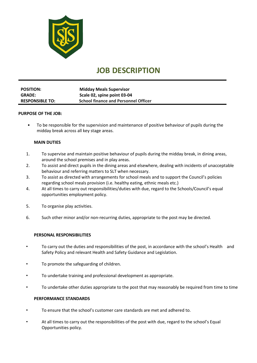

## **JOB DESCRIPTION**

| <b>POSITION:</b>       | <b>Midday Meals Supervisor</b>              |
|------------------------|---------------------------------------------|
| <b>GRADE:</b>          | Scale 02, spine point 03-04                 |
| <b>RESPONSIBLE TO:</b> | <b>School finance and Personnel Officer</b> |

#### **PURPOSE OF THE JOB:**

• To be responsible for the supervision and maintenance of positive behaviour of pupils during the midday break across all key stage areas.

#### **MAIN DUTIES**

- 1. To supervise and maintain positive behaviour of pupils during the midday break, in dining areas, around the school premises and in play areas.
- 2. To assist and direct pupils in the dining areas and elsewhere, dealing with incidents of unacceptable behaviour and referring matters to SLT when necessary.
- 3. To assist as directed with arrangements for school meals and to support the Council's policies regarding school meals provision (i.e. healthy eating, ethnic meals etc.)
- 4. At all times to carry out responsibilities/duties with due, regard to the Schools/Council's equal opportunities employment policy.
- 5. To organise play activities.
- 6. Such other minor and/or non-recurring duties, appropriate to the post may be directed.

#### **PERSONAL RESPONSIBILITIES**

- To carry out the duties and responsibilities of the post, in accordance with the school's Health and Safety Policy and relevant Health and Safety Guidance and Legislation.
- To promote the safeguarding of children.
- To undertake training and professional development as appropriate.
- To undertake other duties appropriate to the post that may reasonably be required from time to time

#### **PERFORMANCE STANDARDS**

- To ensure that the school's customer care standards are met and adhered to.
- At all times to carry out the responsibilities of the post with due, regard to the school's Equal Opportunities policy.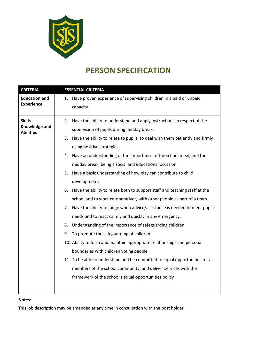

## **PERSON SPECIFICATION**

| <b>CRITERIA</b>                                    | <b>ESSENTIAL CRITERIA</b>                                                          |
|----------------------------------------------------|------------------------------------------------------------------------------------|
| <b>Education and</b><br><b>Experience</b>          | Have proven experience of supervising children in a paid or unpaid<br>1.           |
|                                                    | capacity.                                                                          |
| <b>Skills</b><br>Knowledge and<br><b>Abilities</b> | Have the ability to understand and apply instructions in respect of the<br>2.      |
|                                                    | supervision of pupils during midday break.                                         |
|                                                    | Have the ability to relate to pupils, to deal with them patiently and firmly<br>3. |
|                                                    | using positive strategies.                                                         |
|                                                    | 4. Have an understanding of the importance of the school meal, and the             |
|                                                    | midday break, being a social and educational occasion.                             |
|                                                    | Have a basic understanding of how play can contribute to child<br>5.               |
|                                                    | development.                                                                       |
|                                                    | Have the ability to relate both to support staff and teaching staff at the<br>6.   |
|                                                    | school and to work co-operatively with other people as part of a team.             |
|                                                    | Have the ability to judge when advice/assistance is needed to meet pupils'<br>7.   |
|                                                    | needs and to react calmly and quickly in any emergency.                            |
|                                                    | Understanding of the importance of safeguarding children<br>8.                     |
|                                                    | To promote the safeguarding of children.<br>9.                                     |
|                                                    | 10. Ability to form and maintain appropriate relationships and personal            |
|                                                    | boundaries with children young people                                              |
|                                                    | 11. To be able to understand and be committed to equal opportunities for all       |
|                                                    | members of the school community, and deliver services with the                     |
|                                                    | framework of the school's equal opportunities policy                               |
|                                                    |                                                                                    |
|                                                    |                                                                                    |

#### **Notes:**

This job description may be amended at any time in consultation with the post holder.